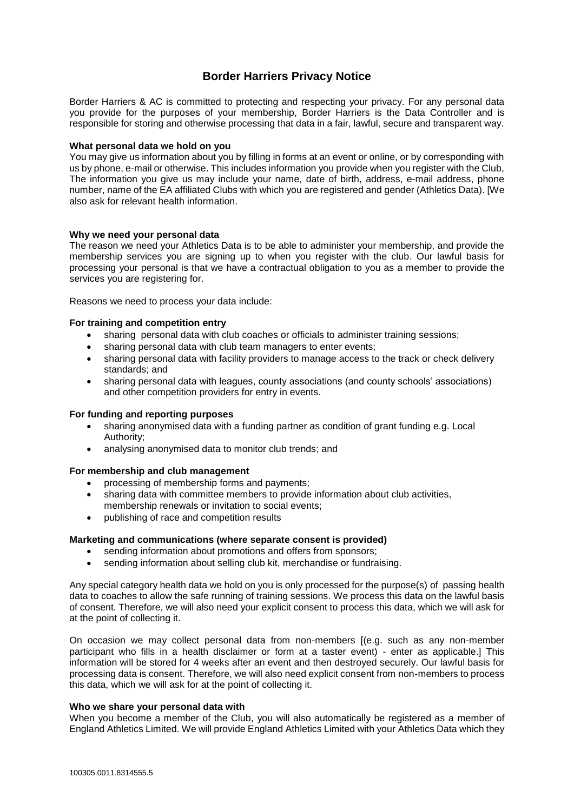# **Border Harriers Privacy Notice**

Border Harriers & AC is committed to protecting and respecting your privacy. For any personal data you provide for the purposes of your membership, Border Harriers is the Data Controller and is responsible for storing and otherwise processing that data in a fair, lawful, secure and transparent way.

# **What personal data we hold on you**

You may give us information about you by filling in forms at an event or online, or by corresponding with us by phone, e-mail or otherwise. This includes information you provide when you register with the Club, The information you give us may include your name, date of birth, address, e-mail address, phone number, name of the EA affiliated Clubs with which you are registered and gender (Athletics Data). [We also ask for relevant health information.

#### **Why we need your personal data**

The reason we need your Athletics Data is to be able to administer your membership, and provide the membership services you are signing up to when you register with the club. Our lawful basis for processing your personal is that we have a contractual obligation to you as a member to provide the services you are registering for.

Reasons we need to process your data include:

#### **For training and competition entry**

- sharing personal data with club coaches or officials to administer training sessions;
- sharing personal data with club team managers to enter events;
- sharing personal data with facility providers to manage access to the track or check delivery standards; and
- sharing personal data with leagues, county associations (and county schools' associations) and other competition providers for entry in events.

# **For funding and reporting purposes**

- sharing anonymised data with a funding partner as condition of grant funding e.g. Local Authority;
- analysing anonymised data to monitor club trends; and

# **For membership and club management**

- processing of membership forms and payments;
- sharing data with committee members to provide information about club activities, membership renewals or invitation to social events;
- publishing of race and competition results

# **Marketing and communications (where separate consent is provided)**

- sending information about promotions and offers from sponsors;
- sending information about selling club kit, merchandise or fundraising.

Any special category health data we hold on you is only processed for the purpose(s) of passing health data to coaches to allow the safe running of training sessions. We process this data on the lawful basis of consent. Therefore, we will also need your explicit consent to process this data, which we will ask for at the point of collecting it.

On occasion we may collect personal data from non-members [(e.g. such as any non-member participant who fills in a health disclaimer or form at a taster event) - enter as applicable.] This information will be stored for 4 weeks after an event and then destroyed securely. Our lawful basis for processing data is consent. Therefore, we will also need explicit consent from non-members to process this data, which we will ask for at the point of collecting it.

#### **Who we share your personal data with**

When you become a member of the Club, you will also automatically be registered as a member of England Athletics Limited. We will provide England Athletics Limited with your Athletics Data which they